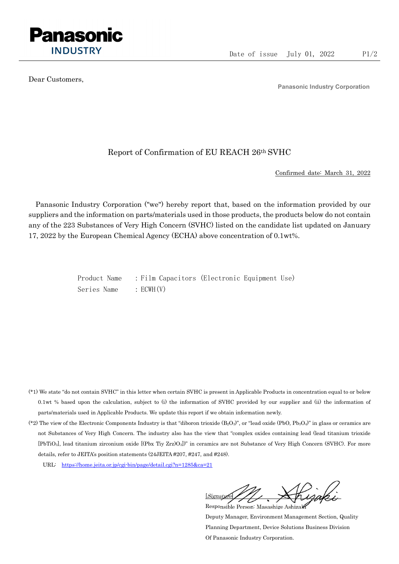

Dear Customers,

Panasonic Industry Corporation

## Report of Confirmation of EU REACH 26th SVHC

Confirmed date: March 31, 2022

Panasonic Industry Corporation ("we") hereby report that, based on the information provided by our suppliers and the information on parts/materials used in those products, the products below do not contain any of the 223 Substances of Very High Concern (SVHC) listed on the candidate list updated on January 17, 2022 by the European Chemical Agency (ECHA) above concentration of 0.1wt%.

> Product Name : Film Capacitors (Electronic Equipment Use) Series Name : ECWH(V)

- (\*1) We state "do not contain SVHC" in this letter when certain SVHC is present in Applicable Products in concentration equal to or below 0.1wt % based upon the calculation, subject to (i) the information of SVHC provided by our supplier and (ii) the information of parts/materials used in Applicable Products. We update this report if we obtain information newly.
- (\*2) The view of the Electronic Components Industry is that "diboron trioxide  $(B_2O_3)$ ", or "lead oxide (PbO, Pb<sub>3</sub>O<sub>4</sub>)" in glass or ceramics are not Substances of Very High Concern. The industry also has the view that "complex oxides containing lead (lead titanium trioxide [PbTiO3], lead titanium zirconium oxide [(Pbx Tiy Zrz)O3])" in ceramics are not Substance of Very High Concern (SVHC). For more details, refer to JEITA's position statements (24JEITA #207, #247, and #248).
	- URL: https://home.jeita.or.jp/cgi-bin/page/detail.cgi?n=1285&ca=21

[Signature] Responsible Person: Masashige Ashizaki

Deputy Manager, Environment Management Section, Quality Planning Department, Device Solutions Business Division Of Panasonic Industry Corporation.